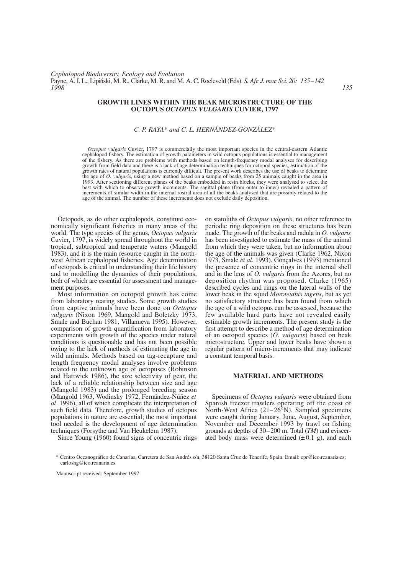### **GROWTH LINES WITHIN THE BEAK MICROSTRUCTURE OF THE OCTOPUS** *OCTOPUS VULGARIS* **CUVIER, 1797**

# *C. P. RAYA*\* *and C. L. HERNÁNDEZ-GONZÁLEZ*\*

*Octopus vulgaris* Cuvier, 1797 is commercially the most important species in the central-eastern Atlantic cephalopod fishery. The estimation of growth parameters in wild octopus populations is essential to management of the fishery. As there are problems with methods based on length-frequency modal analyses for describing growth from field data and there is a lack of age determination techniques for octopod species, estimation of the growth rates of natural populations is currently difficult. The present work describes the use of beaks to determine the age of *O. vulgaris*, using a new method based on a sample of beaks from 25 animals caught in the area in 1993. After sectioning different planes of the beaks embedded in resin blocks, they were analysed to select the best with which to observe growth increments. The sagittal plane (from outer to inner) revealed a pattern of increments of similar width in the internal rostral area of all the beaks analysed that are possibly related to the age of the animal. The number of these increments does not exclude daily deposition.

Octopods, as do other cephalopods, constitute economically significant fisheries in many areas of the world. The type species of the genus, *Octopus vulgaris* Cuvier, 1797, is widely spread throughout the world in tropical, subtropical and temperate waters (Mangold 1983), and it is the main resource caught in the northwest African cephalopod fisheries. Age determination of octopods is critical to understanding their life history and to modelling the dynamics of their populations, both of which are essential for assessment and management purposes.

Most information on octopod growth has come from laboratory rearing studies. Some growth studies from captive animals have been done on *Octopus vulgaris* (Nixon 1969, Mangold and Boletzky 1973, Smale and Buchan 1981, Villanueva 1995). However, comparison of growth quantification from laboratory experiments with growth of the species under natural conditions is questionable and has not been possible owing to the lack of methods of estimating the age in wild animals. Methods based on tag-recapture and length frequency modal analyses involve problems related to the unknown age of octopuses (Robinson and Hartwick 1986), the size selectivity of gear, the lack of a reliable relationship between size and age (Mangold 1983) and the prolonged breeding season (Mangold 1963, Wodinsky 1972, Fernández-Núñez *et al*. 1996), all of which complicate the interpretation of such field data. Therefore, growth studies of octopus populations in nature are essential; the most important tool needed is the development of age determination techniques (Forsythe and Van Heukelem 1987).

Since Young (1960) found signs of concentric rings

on statoliths of *Octopus vulgaris*, no other reference to periodic ring deposition on these structures has been made. The growth of the beaks and radula in *O. vulgaris* has been investigated to estimate the mass of the animal from which they were taken, but no information about the age of the animals was given (Clarke 1962, Nixon 1973, Smale *et al.* 1993). Gonçalves (1993) mentioned the presence of concentric rings in the internal shell and in the lens of *O. vulgaris* from the Azores, but no deposition rhythm was proposed. Clarke (1965) described cycles and rings on the lateral walls of the lower beak in the squid *Moroteuthis ingens*, but as yet no satisfactory structure has been found from which the age of a wild octopus can be assessed, because the few available hard parts have not revealed easily estimable growth increments. The present study is the first attempt to describe a method of age determination of an octopod species (*O. vulgaris*) based on beak microstructure. Upper and lower beaks have shown a regular pattern of micro-increments that may indicate a constant temporal basis.

#### **MATERIAL AND METHODS**

Specimens of *Octopus vulgaris* were obtained from Spanish freezer trawlers operating off the coast of North-West Africa (21–26°N). Sampled specimens were caught during January, June, August, September, November and December 1993 by trawl on fishing grounds at depths of 30–200 m. Total (*TM*) and eviscerated body mass were determined  $(\pm 0.1 \text{ g})$ , and each

Manuscript received: September 1997

<sup>\*</sup> Centro Oceanográfico de Canarias, Carretera de San Andrés s/n, 38120 Santa Cruz de Tenerife, Spain. Email: cpr@ieo.rcanaria.es; carloshg@ieo.rcanaria.es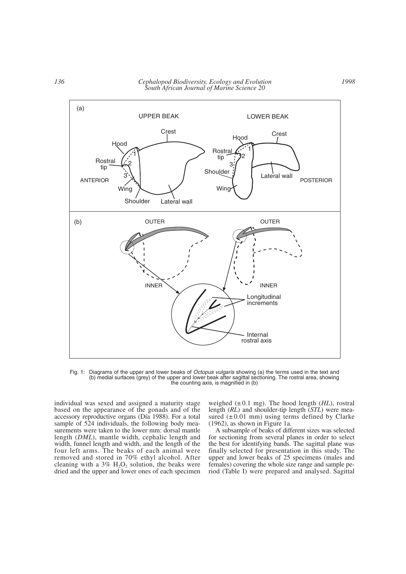

Fig. 1: Diagrams of the upper and lower beaks of *Octopus vulgaris* showing (a) the terms used in the text and (b) medial surfaces (grey) of the upper and lower beak after sagittal sectioning. The rostral area, showing the counting axis, is magnified in (b)

individual was sexed and assigned a maturity stage based on the appearance of the gonads and of the accessory reproductive organs (Día 1988). For a total sample of 524 individuals, the following body measurements were taken to the lower mm: dorsal mantle length (*DML*), mantle width, cephalic length and width, funnel length and width, and the length of the four left arms. The beaks of each animal were removed and stored in 70% ethyl alcohol. After cleaning with a  $3\%$  H<sub>2</sub>O<sub>2</sub> solution, the beaks were dried and the upper and lower ones of each specimen

weighed  $(\pm 0.1 \text{ mg})$ . The hood length *(HL)*, rostral length (*RL*) and shoulder-tip length (*STL*) were measured  $(\pm 0.01 \text{ mm})$  using terms defined by Clarke (1962), as shown in Figure 1a.

A subsample of beaks of different sizes was selected for sectioning from several planes in order to select the best for identifying bands. The sagittal plane was finally selected for presentation in this study. The upper and lower beaks of 25 specimens (males and females) covering the whole size range and sample period (Table I) were prepared and analysed. Sagittal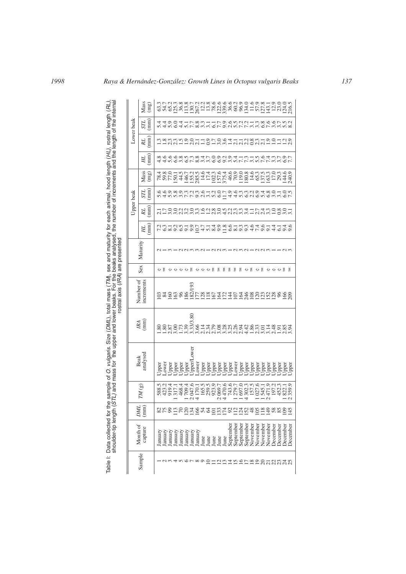| nterna<br>), rostral length ( <i>RL)</i><br>length of the interna<br>(HL), I<br>of increments and the<br>for each animal, hood length<br>the number<br>sex and maturity<br>beaks analysed, t<br>are presented<br>the i<br>ostral axis (IRA)<br>o (DML), total mass (T<br>and lower beaks. For<br>$\frac{1}{2}$<br>the upper<br>vulgaris.<br>$\frac{1}{2}$<br>Table I: Data collected for the sample of O.<br>shoulder-tip length (STL) and mass | Lower beak              | Mass<br>(mg)         |         | ntan ga shida go go ga ga ga ga tagach<br>Ca Chagaigh na chuidhean ann an t-ainm                                                                                                                                                                                                                                                                                            |         |         |         |         |         |      |                      |   |   |   |   |   |                                                                                   |          |                      |           |          |          |          |
|-------------------------------------------------------------------------------------------------------------------------------------------------------------------------------------------------------------------------------------------------------------------------------------------------------------------------------------------------------------------------------------------------------------------------------------------------|-------------------------|----------------------|---------|-----------------------------------------------------------------------------------------------------------------------------------------------------------------------------------------------------------------------------------------------------------------------------------------------------------------------------------------------------------------------------|---------|---------|---------|---------|---------|------|----------------------|---|---|---|---|---|-----------------------------------------------------------------------------------|----------|----------------------|-----------|----------|----------|----------|
|                                                                                                                                                                                                                                                                                                                                                                                                                                                 |                         | $\sum_{i=1}^{n}$     |         | これこの4 とて8 cuとのての cuとてて cuののて cuとこ8 cuとりはようのように suとりの cuという cuののこころ                                                                                                                                                                                                                                                                                                          |         |         |         |         |         |      |                      |   |   |   |   |   |                                                                                   |          |                      |           |          |          |          |
|                                                                                                                                                                                                                                                                                                                                                                                                                                                 |                         | $R_{\text{min}}$     |         | nggang pandung pandunggan dan masalahan.<br>Hadda pandung pandunggan dan masalahan                                                                                                                                                                                                                                                                                          |         |         |         |         |         |      |                      |   |   |   |   |   |                                                                                   |          |                      |           |          |          |          |
|                                                                                                                                                                                                                                                                                                                                                                                                                                                 |                         | $\binom{m}{n}$<br>HL |         | d d n o w o L ∞ w w o o o w n L L w n L L w w o L<br>∞ o o o ∞ w w w ∞ 4 L O o v o 4 H w H W O 4 w L D w W                                                                                                                                                                                                                                                                  |         |         |         |         |         |      |                      |   |   |   |   |   |                                                                                   |          |                      |           |          |          |          |
|                                                                                                                                                                                                                                                                                                                                                                                                                                                 | Upper beak              | Mass<br>(mg)         |         |                                                                                                                                                                                                                                                                                                                                                                             |         |         |         |         |         |      |                      |   |   |   |   |   |                                                                                   |          |                      |           |          |          |          |
|                                                                                                                                                                                                                                                                                                                                                                                                                                                 |                         | $\sum_{i=1}^{n}$     |         | ちんり&りこことのことをいけるからこうからあっているから、そうしゃのうとうとうでしょう。                                                                                                                                                                                                                                                                                                                                |         |         |         |         |         |      |                      |   |   |   |   |   |                                                                                   |          |                      |           |          |          |          |
|                                                                                                                                                                                                                                                                                                                                                                                                                                                 |                         | $R_{\text{min}}$     |         |                                                                                                                                                                                                                                                                                                                                                                             |         |         |         |         |         |      |                      |   |   |   |   |   |                                                                                   |          |                      |           |          |          |          |
|                                                                                                                                                                                                                                                                                                                                                                                                                                                 |                         | $\binom{m}{m}$<br>HL |         | てん。 こうちょうにしょう。 しんしょうしょうしょうしゅう こうしゅうしん しゅうしょう しょうしょう しょうしょう                                                                                                                                                                                                                                                                                                                  |         |         |         |         |         |      |                      |   |   |   |   |   |                                                                                   |          |                      |           |          |          |          |
|                                                                                                                                                                                                                                                                                                                                                                                                                                                 | Maturity                |                      |         |                                                                                                                                                                                                                                                                                                                                                                             |         |         |         |         |         |      |                      |   |   |   |   |   |                                                                                   |          |                      |           |          |          |          |
|                                                                                                                                                                                                                                                                                                                                                                                                                                                 | Sex                     |                      |         |                                                                                                                                                                                                                                                                                                                                                                             |         |         |         |         |         |      |                      | 됡 | E | 젉 | ᇘ | 됤 | ひ 昌                                                                               | 간 톱      |                      | - ひ- ひ- 집 |          |          | F        |
|                                                                                                                                                                                                                                                                                                                                                                                                                                                 | Number of<br>increments |                      |         | $\overline{5}$ * $\overline{8}$ $\overline{8}$ * $\overline{8}$ $\overline{8}$ $\overline{2}$ $\overline{2}$ $\overline{2}$ $\overline{3}$ $\overline{4}$ $\overline{2}$ $\overline{3}$ $\overline{2}$ $\overline{3}$ $\overline{2}$ $\overline{3}$ $\overline{2}$ $\overline{3}$ $\overline{2}$ $\overline{3}$ $\overline{2}$ $\overline{3}$ $\overline{3}$ $\overline{2}$ |         |         |         |         |         |      |                      |   |   |   |   |   |                                                                                   |          |                      |           |          |          |          |
|                                                                                                                                                                                                                                                                                                                                                                                                                                                 | $\frac{R}{2}$           |                      |         | า - พร้า - พร้า - พร้า - พร้า - พร้า - พร้า - พร้า - พร้า - พร้า - พร้า - พร้า - พร้า - พร้า - พร้า - พร้า - พ<br>พร้า - พร้า - พร้า - พร้า - พร้า - พร้า - พร้า - พร้า - พร้า - พร้า - พร้า<br>พร้า - พร้า - พร้า - พร้า - พร้า -                                                                                                                                          |         |         |         |         |         |      |                      |   |   |   |   |   |                                                                                   |          |                      |           |          |          |          |
|                                                                                                                                                                                                                                                                                                                                                                                                                                                 | Beak<br>analysed        |                      |         |                                                                                                                                                                                                                                                                                                                                                                             |         |         |         |         |         |      |                      |   |   |   |   |   |                                                                                   |          |                      |           |          |          |          |
|                                                                                                                                                                                                                                                                                                                                                                                                                                                 | $TM$ $(g)$              |                      |         | s de l'accelerace de l'accelerace de l'accelerace<br>s'accelerace de l'accelerace de l'accelerace<br>s'accelerace de l'accelerace de l'accelerace                                                                                                                                                                                                                           |         |         |         |         |         |      |                      |   |   |   |   |   |                                                                                   |          |                      |           |          |          |          |
|                                                                                                                                                                                                                                                                                                                                                                                                                                                 | (mm)<br>DML             |                      |         | 858568#848555555585588895                                                                                                                                                                                                                                                                                                                                                   |         |         |         |         |         |      |                      |   |   |   |   |   |                                                                                   |          |                      |           |          |          |          |
|                                                                                                                                                                                                                                                                                                                                                                                                                                                 | Month of<br>capture     |                      | January | January<br>January                                                                                                                                                                                                                                                                                                                                                          | January | January | January | January | January | June | June<br>June<br>June |   |   |   |   |   | June<br>September<br>September<br>September<br>September<br>September<br>November | November | November<br>November | December  | December | December | December |
|                                                                                                                                                                                                                                                                                                                                                                                                                                                 | Sample                  |                      |         | amanor xo quedinte pendente da contro                                                                                                                                                                                                                                                                                                                                       |         |         |         |         |         |      |                      |   |   |   |   |   |                                                                                   |          |                      |           |          |          |          |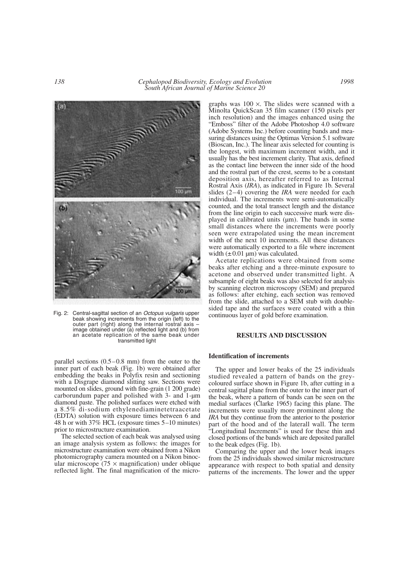

Fig. 2: Central-sagittal section of an *Octopus vulgaris* upper beak showing increments from the origin (left) to the outer part (right) along the internal rostral axis  $$ image obtained under (a) reflected light and (b) from an acetate replication of the same beak under transmitted light

parallel sections (0.5–0.8 mm) from the outer to the inner part of each beak (Fig. 1b) were obtained after embedding the beaks in Polyfix resin and sectioning with a Disgrape diamond slitting saw. Sections were mounted on slides, ground with fine-grain (1 200 grade) carborundum paper and polished with 3- and 1-µm diamond paste. The polished surfaces were etched with a 8.5% di-sodium ethylenediaminetetraacetate (EDTA) solution with exposure times between 6 and 48 h or with 37% HCL (exposure times 5–10 minutes) prior to microstructure examination.

The selected section of each beak was analysed using an image analysis system as follows: the images for microstructure examination were obtained from a Nikon photomicrography camera mounted on a Nikon binocular microscope ( $75 \times$  magnification) under oblique reflected light. The final magnification of the micrographs was  $100 \times$ . The slides were scanned with a Minolta QuickScan 35 film scanner (150 pixels per inch resolution) and the images enhanced using the "Emboss" filter of the Adobe Photoshop 4.0 software (Adobe Systems Inc.) before counting bands and measuring distances using the Optimas Version 5.1 software (Bioscan, Inc.). The linear axis selected for counting is the longest, with maximum increment width, and it usually has the best increment clarity. That axis, defined as the contact line between the inner side of the hood and the rostral part of the crest, seems to be a constant deposition axis, hereafter referred to as Internal Rostral Axis (*IRA*), as indicated in Figure 1b. Several slides (2–4) covering the *IRA* were needed for each individual. The increments were semi-automatically counted, and the total transect length and the distance from the line origin to each successive mark were displayed in calibrated units (µm). The bands in some small distances where the increments were poorly seen were extrapolated using the mean increment width of the next 10 increments. All these distances were automatically exported to a file where increment width  $(\pm 0.01 \,\mathrm{\mu m})$  was calculated.

Acetate replications were obtained from some beaks after etching and a three-minute exposure to acetone and observed under transmitted light. A subsample of eight beaks was also selected for analysis by scanning electron microscopy (SEM) and prepared as follows: after etching, each section was removed from the slide, attached to a SEM stub with doublesided tape and the surfaces were coated with a thin continuous layer of gold before examination.

## **RESULTS AND DISCUSSION**

### **Identification of increments**

The upper and lower beaks of the 25 individuals studied revealed a pattern of bands on the greycoloured surface shown in Figure 1b, after cutting in a central sagittal plane from the outer to the inner part of the beak, where a pattern of bands can be seen on the medial surfaces (Clarke 1965) facing this plane. The increments were usually more prominent along the *IRA* but they continue from the anterior to the posterior part of the hood and of the laterall wall. The term "Longitudinal Increments" is used for these thin and closed portions of the bands which are deposited parallel to the beak edges (Fig. 1b).

Comparing the upper and the lower beak images from the 25 individuals showed similar microstructure appearance with respect to both spatial and density patterns of the increments. The lower and the upper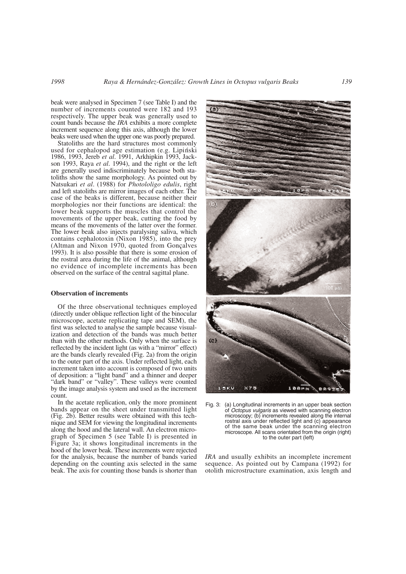beak were analysed in Specimen 7 (see Table I) and the number of increments counted were 182 and 193 respectively. The upper beak was generally used to count bands because the *IRA* exhibits a more complete increment sequence along this axis, although the lower beaks were used when the upper one was poorly prepared.

Statoliths are the hard structures most commonly used for cephalopod age estimation (e.g. Lipiński 1986, 1993, Jereb *et al*. 1991, Arkhipkin 1993, Jackson 1993, Raya *et al*. 1994), and the right or the left are generally used indiscriminately because both statoliths show the same morphology. As pointed out by Natsukari *et al*. (1988) for *Photololigo edulis*, right and left statoliths are mirror images of each other. The case of the beaks is different, because neither their morphologies nor their functions are identical: the lower beak supports the muscles that control the movements of the upper beak, cutting the food by means of the movements of the latter over the former. The lower beak also injects paralysing saliva, which contains cephalotoxin (Nixon 1985), into the prey (Altman and Nixon 1970, quoted from Gonçalves 1993). It is also possible that there is some erosion of the rostral area during the life of the animal, although no evidence of incomplete increments has been observed on the surface of the central sagittal plane.

### **Observation of increments**

Of the three observational techniques employed (directly under oblique reflection light of the binocular microscope, acetate replicating tape and SEM), the first was selected to analyse the sample because visualization and detection of the bands was much better than with the other methods. Only when the surface is reflected by the incident light (as with a "mirror" effect) are the bands clearly revealed (Fig. 2a) from the origin to the outer part of the axis. Under reflected light, each increment taken into account is composed of two units of deposition: a "light band" and a thinner and deeper "dark band" or "valley". These valleys were counted by the image analysis system and used as the increment count.

In the acetate replication, only the more prominent bands appear on the sheet under transmitted light (Fig. 2b). Better results were obtained with this technique and SEM for viewing the longitudinal increments along the hood and the lateral wall. An electron micrograph of Specimen 5 (see Table I) is presented in Figure 3a; it shows longitudinal increments in the hood of the lower beak. These increments were rejected for the analysis, because the number of bands varied depending on the counting axis selected in the same beak. The axis for counting those bands is shorter than



Fig. 3: (a) Longitudinal increments in an upper beak section of *Octopus vulgaris* as viewed with scanning electron microscopy; (b) increments revealed along the internal rostral axis under reflected light and (c) appearance of the same beak under the scanning electron microscope. All scans orientated from the origin (right) to the outer part (left)

*IRA* and usually exhibits an incomplete increment sequence. As pointed out by Campana (1992) for otolith microstructure examination, axis length and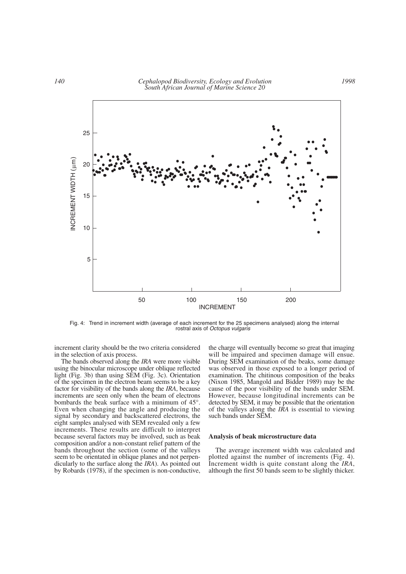

Fig. 4: Trend in increment width (average of each increment for the 25 specimens analysed) along the internal rostral axis of *Octopus vulgaris*

increment clarity should be the two criteria considered in the selection of axis process.

The bands observed along the *IRA* were more visible using the binocular microscope under oblique reflected light (Fig. 3b) than using SEM (Fig. 3c). Orientation of the specimen in the electron beam seems to be a key factor for visibility of the bands along the *IRA*, because increments are seen only when the beam of electrons bombards the beak surface with a minimum of 45°. Even when changing the angle and producing the signal by secondary and backscattered electrons, the eight samples analysed with SEM revealed only a few increments. These results are difficult to interpret because several factors may be involved, such as beak composition and/or a non-constant relief pattern of the bands throughout the section (some of the valleys seem to be orientated in oblique planes and not perpendicularly to the surface along the *IRA*). As pointed out by Robards (1978), if the specimen is non-conductive,

the charge will eventually become so great that imaging will be impaired and specimen damage will ensue. During SEM examination of the beaks, some damage was observed in those exposed to a longer period of examination. The chitinous composition of the beaks (Nixon 1985, Mangold and Bidder 1989) may be the cause of the poor visibility of the bands under SEM. However, because longitudinal increments can be detected by SEM, it may be possible that the orientation of the valleys along the *IRA* is essential to viewing such bands under SEM.

#### **Analysis of beak microstructure data**

The average increment width was calculated and plotted against the number of increments (Fig. 4). Increment width is quite constant along the *IRA*, although the first 50 bands seem to be slightly thicker.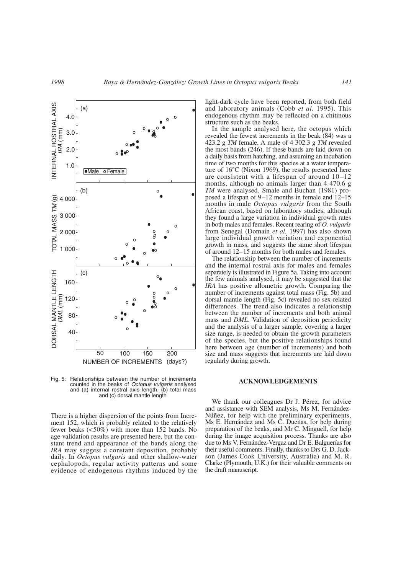

Fig. 5: Relationships between the number of increments counted in the beaks of *Octopus vulgaris* analysed and (a) internal rostral axis length, (b) total mass and (c) dorsal mantle length

There is a higher dispersion of the points from Increment 152, which is probably related to the relatively fewer beaks (<50%) with more than 152 bands. No age validation results are presented here, but the constant trend and appearance of the bands along the *IRA* may suggest a constant deposition, probably daily. In *Octopus vulgaris* and other shallow-water cephalopods, regular activity patterns and some evidence of endogenous rhythms induced by the

light-dark cycle have been reported, from both field and laboratory animals (Cobb *et al.* 1995). This endogenous rhythm may be reflected on a chitinous structure such as the beaks.

In the sample analysed here, the octopus which revealed the fewest increments in the beak (84) was a 423.2 g *TM* female. A male of 4 302.3 g *TM* revealed the most bands (246). If these bands are laid down on a daily basis from hatching, and assuming an incubation time of two months for this species at a water temperature of 16°C (Nixon 1969), the results presented here are consistent with a lifespan of around 10–12 months, although no animals larger than 4 470.6 g *TM* were analysed. Smale and Buchan (1981) proposed a lifespan of 9–12 months in female and 12–15 months in male *Octopus vulgaris* from the South African coast, based on laboratory studies, although they found a large variation in individual growth rates in both males and females. Recent rearing of *O. vulgaris* from Senegal (Domain *et al.* 1997) has also shown large individual growth variation and exponential growth in mass, and suggests the same short lifespan of around 12–15 months for both males and females.

The relationship between the number of increments and the internal rostral axis for males and females separately is illustrated in Figure 5a. Taking into account the few animals analysed, it may be suggested that the *IRA* has positive allometric growth. Comparing the number of increments against total mass (Fig. 5b) and dorsal mantle length (Fig. 5c) revealed no sex-related differences. The trend also indicates a relationship between the number of increments and both animal mass and *DML*. Validation of deposition periodicity and the analysis of a larger sample, covering a larger size range, is needed to obtain the growth parameters of the species, but the positive relationships found here between age (number of increments) and both size and mass suggests that increments are laid down regularly during growth.

#### **ACKNOWLEDGEMENTS**

We thank our colleagues Dr J. Pérez, for advice and assistance with SEM analysis, Ms M. Fernández-Núñez, for help with the preliminary experiments, Ms E. Hernández and Ms C. Dueñas, for help during preparation of the beaks, and Mr C. Minguell, for help during the image acquisition process. Thanks are also due to Ms V. Fernández-Vergaz and Dr E. Balguerías for their useful comments. Finally, thanks to Drs G. D. Jackson (James Cook University, Australia) and M. R. Clarke (Plymouth, U.K.) for their valuable comments on the draft manuscript.